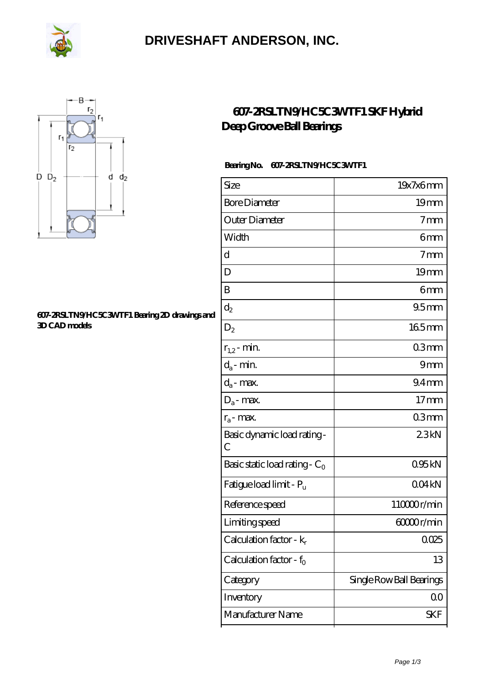

### **[DRIVESHAFT ANDERSON, INC.](https://poogx.com)**



#### **[607-2RSLTN9/HC5C3WTF1 Bearing 2D drawings and](https://poogx.com/pic-653306.html) [3D CAD models](https://poogx.com/pic-653306.html)**

### **[607-2RSLTN9/HC5C3WTF1 SKF Hybrid](https://poogx.com/hybrid-cylindrical-roller-bearings/607-2rsltn9-hc5c3wtf1.html) [Deep Groove Ball Bearings](https://poogx.com/hybrid-cylindrical-roller-bearings/607-2rsltn9-hc5c3wtf1.html)**

#### **Bearing No. 607-2RSLTN9/HC5C3WTF1**

| Size                                | 19x7x6mm                 |
|-------------------------------------|--------------------------|
| <b>Bore Diameter</b>                | 19 <sub>mm</sub>         |
| Outer Diameter                      | 7 <sub>mm</sub>          |
| Width                               | 6mm                      |
| d                                   | $7 \text{mm}$            |
| D                                   | 19 <sub>mm</sub>         |
| B                                   | 6mm                      |
| $d_2$                               | 95 <sub>mm</sub>         |
| $D_2$                               | 165mm                    |
| $r_{1,2}$ - min.                    | 03mm                     |
| $d_a$ - min.                        | 9mm                      |
| $d_a$ - max.                        | 94 <sub>mm</sub>         |
| $D_a$ - max.                        | 17 <sub>mm</sub>         |
| $r_a$ - max.                        | 03mm                     |
| Basic dynamic load rating-<br>С     | 23kN                     |
| Basic static load rating - $C_0$    | 095kN                    |
| Fatigue load limit - P <sub>u</sub> | 004kN                    |
| Reference speed                     | 110000r/min              |
| Limiting speed                      | 60000r/min               |
| Calculation factor - $k_r$          | 0025                     |
| Calculation factor - $f_0$          | 13                       |
| Category                            | Single Row Ball Bearings |
| Inventory                           | QO                       |
| Manufacturer Name                   | SKF                      |
|                                     |                          |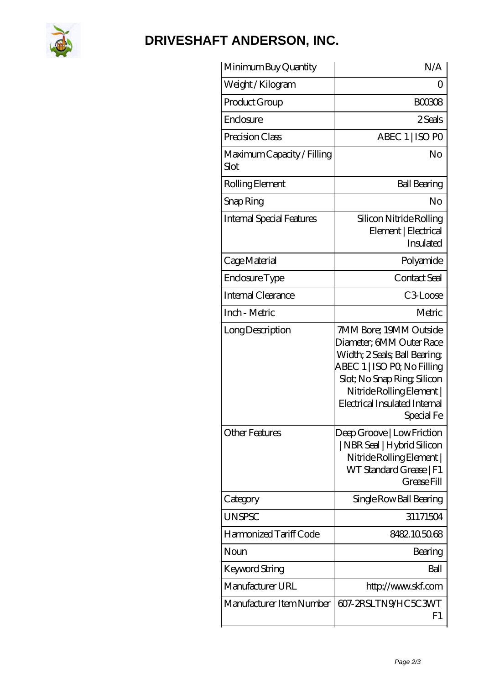

# **[DRIVESHAFT ANDERSON, INC.](https://poogx.com)**

| Minimum Buy Quantity               | N/A                                                                                                                                                                                                                         |
|------------------------------------|-----------------------------------------------------------------------------------------------------------------------------------------------------------------------------------------------------------------------------|
| Weight/Kilogram                    | Ω                                                                                                                                                                                                                           |
| Product Group                      | BOO3O8                                                                                                                                                                                                                      |
| Enclosure                          | 2 Seals                                                                                                                                                                                                                     |
| Precision Class                    | ABEC 1   ISO PO                                                                                                                                                                                                             |
| Maximum Capacity / Filling<br>Slot | No                                                                                                                                                                                                                          |
| Rolling Element                    | <b>Ball Bearing</b>                                                                                                                                                                                                         |
| Snap Ring                          | No                                                                                                                                                                                                                          |
| Internal Special Features          | Silicon Nitride Rolling<br>Element   Electrical<br>Insulated                                                                                                                                                                |
| Cage Material                      | Polyamide                                                                                                                                                                                                                   |
| Enclosure Type                     | Contact Seal                                                                                                                                                                                                                |
| Internal Clearance                 | C <sub>3</sub> Loose                                                                                                                                                                                                        |
| Inch - Metric                      | Metric                                                                                                                                                                                                                      |
| Long Description                   | 7MM Bore; 19MM Outside<br>Diameter; 6MM Outer Race<br>Width; 2Seals; Ball Bearing;<br>ABEC 1   ISO PQ No Filling<br>Slot; No Snap Ring, Silicon<br>Nitride Rolling Element  <br>Electrical Insulated Internal<br>Special Fe |
| <b>Other Features</b>              | Deep Groove   Low Friction<br>  NBR Seal   Hybrid Silicon<br>Nitride Rolling Element  <br>WT Standard Grease   F1<br>Grease Fill                                                                                            |
| Category                           | Single Row Ball Bearing                                                                                                                                                                                                     |
| <b>UNSPSC</b>                      | 31171504                                                                                                                                                                                                                    |
| Harmonized Tariff Code             | 8482105068                                                                                                                                                                                                                  |
| Noun                               | Bearing                                                                                                                                                                                                                     |
| Keyword String                     | Ball                                                                                                                                                                                                                        |
| Manufacturer URL                   | http://www.skf.com                                                                                                                                                                                                          |
| Manufacturer Item Number           | 607-2RSLTN9/HC5C3WT<br>F1                                                                                                                                                                                                   |